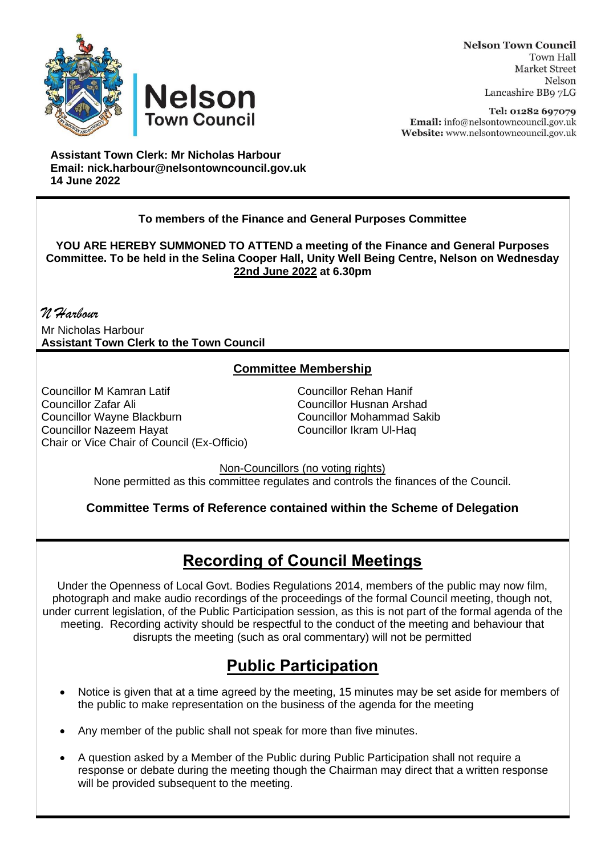



**Nelson Town Council Town Hall Market Street** Nelson Lancashire BB9 7LG

Tel: 01282 697079 Email: info@nelsontowncouncil.gov.uk Website: www.nelsontowncouncil.gov.uk

**Assistant Town Clerk: Mr Nicholas Harbour Email: nick.harbour@nelsontowncouncil.gov.uk 14 June 2022** 

## **To members of the Finance and General Purposes Committee**

**YOU ARE HEREBY SUMMONED TO ATTEND a meeting of the Finance and General Purposes Committee. To be held in the Selina Cooper Hall, Unity Well Being Centre, Nelson on Wednesday 22nd June 2022 at 6.30pm**

*N Harbour* Mr Nicholas Harbour **Assistant Town Clerk to the Town Council**

## **Committee Membership**

Councillor M Kamran Latif Councillor Rehan Hanif Councillor Zafar Ali Councillor Husnan Arshad Councillor Wayne Blackburn **Councillor Mohammad S**<br>Councillor Nazeem Havat Councillor Ikram Ul-Hag Councillor Nazeem Havat Chair or Vice Chair of Council (Ex-Officio)

Non-Councillors (no voting rights) None permitted as this committee regulates and controls the finances of the Council.

**Committee Terms of Reference contained within the Scheme of Delegation**

## **Recording of Council Meetings**

Under the Openness of Local Govt. Bodies Regulations 2014, members of the public may now film, photograph and make audio recordings of the proceedings of the formal Council meeting, though not, under current legislation, of the Public Participation session, as this is not part of the formal agenda of the meeting. Recording activity should be respectful to the conduct of the meeting and behaviour that disrupts the meeting (such as oral commentary) will not be permitted

## **Public Participation**

- Notice is given that at a time agreed by the meeting, 15 minutes may be set aside for members of the public to make representation on the business of the agenda for the meeting
- Any member of the public shall not speak for more than five minutes.
- A question asked by a Member of the Public during Public Participation shall not require a response or debate during the meeting though the Chairman may direct that a written response will be provided subsequent to the meeting.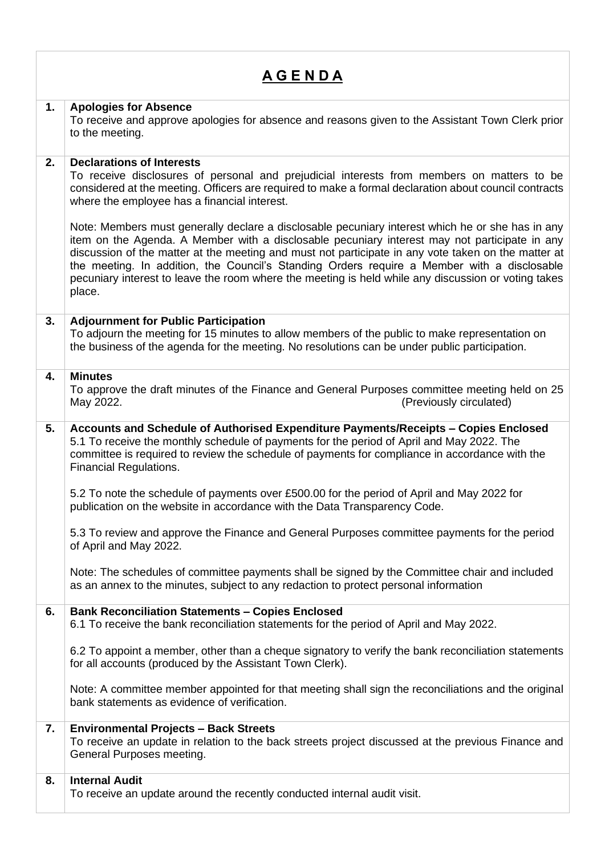| <u>A G E N D A</u> |                                                                                                                                                                                                                                                                                                                                                                                                                                                                                                                          |
|--------------------|--------------------------------------------------------------------------------------------------------------------------------------------------------------------------------------------------------------------------------------------------------------------------------------------------------------------------------------------------------------------------------------------------------------------------------------------------------------------------------------------------------------------------|
| 1.                 | <b>Apologies for Absence</b><br>To receive and approve apologies for absence and reasons given to the Assistant Town Clerk prior<br>to the meeting.                                                                                                                                                                                                                                                                                                                                                                      |
| 2.                 | <b>Declarations of Interests</b><br>To receive disclosures of personal and prejudicial interests from members on matters to be<br>considered at the meeting. Officers are required to make a formal declaration about council contracts<br>where the employee has a financial interest.                                                                                                                                                                                                                                  |
|                    | Note: Members must generally declare a disclosable pecuniary interest which he or she has in any<br>item on the Agenda. A Member with a disclosable pecuniary interest may not participate in any<br>discussion of the matter at the meeting and must not participate in any vote taken on the matter at<br>the meeting. In addition, the Council's Standing Orders require a Member with a disclosable<br>pecuniary interest to leave the room where the meeting is held while any discussion or voting takes<br>place. |
| 3.                 | <b>Adjournment for Public Participation</b><br>To adjourn the meeting for 15 minutes to allow members of the public to make representation on<br>the business of the agenda for the meeting. No resolutions can be under public participation.                                                                                                                                                                                                                                                                           |
| 4.                 | <b>Minutes</b><br>To approve the draft minutes of the Finance and General Purposes committee meeting held on 25<br>May 2022.<br>(Previously circulated)                                                                                                                                                                                                                                                                                                                                                                  |
| 5.                 | Accounts and Schedule of Authorised Expenditure Payments/Receipts - Copies Enclosed<br>5.1 To receive the monthly schedule of payments for the period of April and May 2022. The<br>committee is required to review the schedule of payments for compliance in accordance with the<br><b>Financial Regulations.</b>                                                                                                                                                                                                      |
|                    | 5.2 To note the schedule of payments over £500.00 for the period of April and May 2022 for<br>publication on the website in accordance with the Data Transparency Code.                                                                                                                                                                                                                                                                                                                                                  |
|                    | 5.3 To review and approve the Finance and General Purposes committee payments for the period<br>of April and May 2022.                                                                                                                                                                                                                                                                                                                                                                                                   |
|                    | Note: The schedules of committee payments shall be signed by the Committee chair and included<br>as an annex to the minutes, subject to any redaction to protect personal information                                                                                                                                                                                                                                                                                                                                    |
| 6.                 | <b>Bank Reconciliation Statements - Copies Enclosed</b><br>6.1 To receive the bank reconciliation statements for the period of April and May 2022.                                                                                                                                                                                                                                                                                                                                                                       |
|                    | 6.2 To appoint a member, other than a cheque signatory to verify the bank reconciliation statements<br>for all accounts (produced by the Assistant Town Clerk).                                                                                                                                                                                                                                                                                                                                                          |
|                    | Note: A committee member appointed for that meeting shall sign the reconciliations and the original<br>bank statements as evidence of verification.                                                                                                                                                                                                                                                                                                                                                                      |
| 7.                 | <b>Environmental Projects - Back Streets</b><br>To receive an update in relation to the back streets project discussed at the previous Finance and<br>General Purposes meeting.                                                                                                                                                                                                                                                                                                                                          |
| 8.                 | <b>Internal Audit</b><br>To receive an update around the recently conducted internal audit visit.                                                                                                                                                                                                                                                                                                                                                                                                                        |